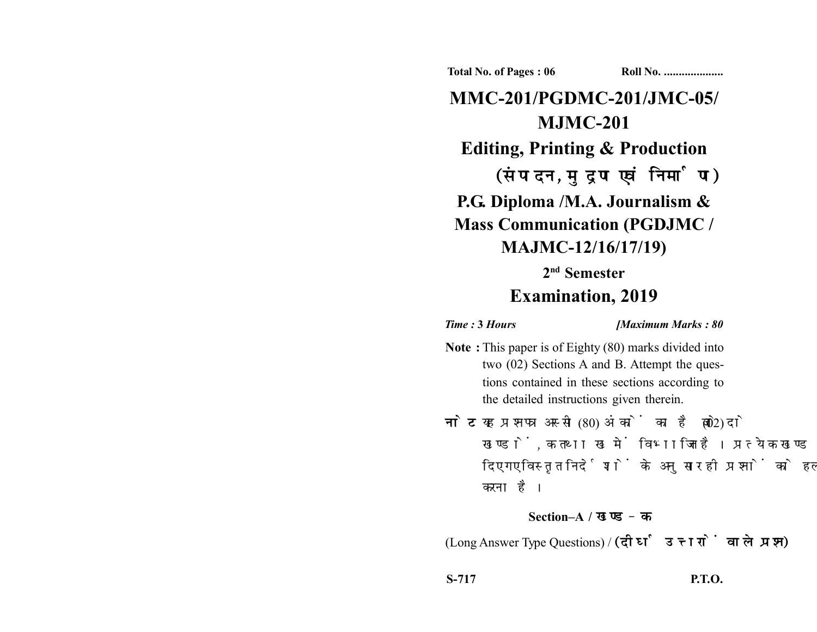**Total No. of Pages : 06 Roll No. ...................** 

**MMC-201/PGDMC-201/JMC-05/ MJMC-201 Editing, Printing & Production** (संपादन, मुद्रण एवं निर्माण) **P.G. Diploma /M.A. Journalism & Mass Communication (PGDJMC / MAJMC-12/16/17/19) 2nd Semester**

## **Examination, 2019**

*Time :* **3** *Hours [Maximum Marks : 80*

- **Note :** This paper is of Eighty (80) marks divided into two (02) Sections A and B. Attempt the questions contained in these sections according to the detailed instructions given therein.
- नोट: यह प्रश्नपत्र अस्सी (80) अंकों का है जो दो (02) खण्डों, क तथा ख में विभाजित है। प्रत्येक खण्ड में दिए गए विस्तृत निर्देशों के अनुसार ही प्रश्नों को हल करना है।

## **Section–A /**

(Long Answer Type Questions) /

**S-717 P.T.O.**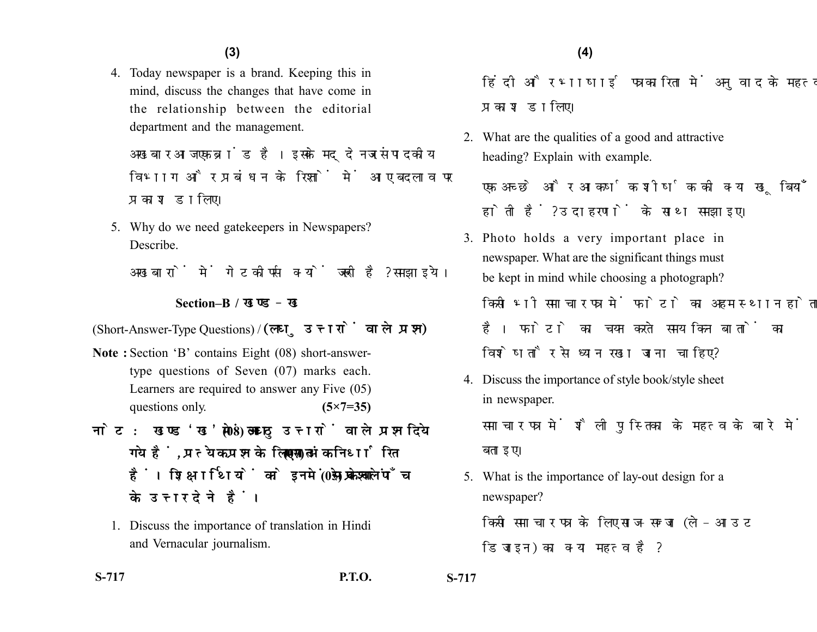4. Today newspaper is a brand. Keeping this in mind, discuss the changes that have come in the relationship between the editorial department and the management.

अखबार आज एक ब्रांड है। इसके मददेनजर संपादकीय विभाग और प्रबंधन के रिश्तों में आए बदलाव पर प्रकाश डालिए।

5. Why do we need gatekeepers in Newspapers? Describe.

अखबारों में गेटकीपर्स क्यों जरूरी है? समझाइये।

## **Section–B /**

(Short-Answer-Type Questions) / (लघु उत्तरों वाले प्रश्न)

- **Note :** Section 'B' contains Eight (08) short-answertype questions of Seven (07) marks each. Learners are required to answer any Five (05) questions only. **(5×7=35)**
- नोट: खण्ड'ख' में आठ (08) लघु उत्तरों वाले प्रश्न दिये गये हैं. प्रत्येक प्रश्न के लिए सात (07) अंक निर्धारित हैं। शिक्षार्थियों को इनमें से केवल पाँच (05) प्रश्नों के उत्तर देने हैं।
	- 1. Discuss the importance of translation in Hindi and Vernacular journalism.

हिंदी और भाषाई पत्रकारिता में अनुवाद के महत्व पर प्रकाश डालिए।

2. What are the qualities of a good and attractive heading? Explain with example.

एक अच्छे और आकर्षक शीर्षक की क्या खुबियाँ होती हैं ? उदाहरणों के साथ समझाइए।

- 3. Photo holds a very important place in newspaper. What are the significant things must be kept in mind while choosing a photograph? किसी भी समाचार पत्र में फोटो का अहम स्थान होता है। फोटो का चयन करते समय किन बातों का विशेषतौर से ध्यान रखा जाना चाहिए?
- 4. Discuss the importance of style book/style sheet in newspaper.

समाचार पत्र में शैली पस्तिका के महत्व के बारे में बताइए।

5. What is the importance of lay-out design for a newspaper? किसी समाचार पत्र के लिए साज-सज्जा (ले-आउट डिजाइन) का क्या महत्व है?

**S-717 P.T.O. S-717**